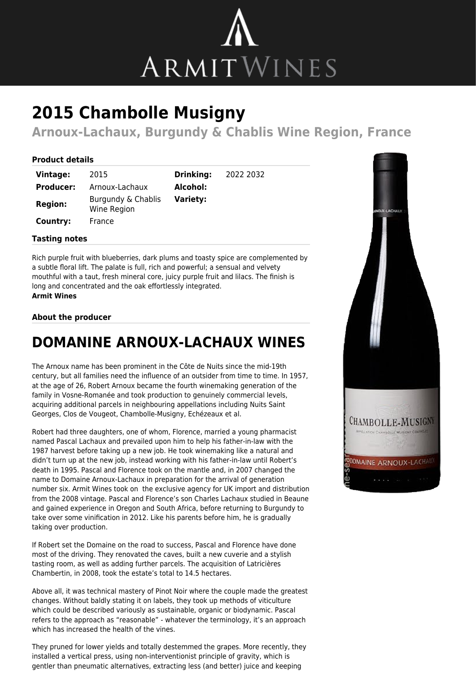

# **2015 Chambolle Musigny**

**Arnoux-Lachaux, Burgundy & Chablis Wine Region, France**

**Drinking:** 2022 2032

#### **Product details**

| Vintage:         | 2015                              | <b>Drinking:</b> |
|------------------|-----------------------------------|------------------|
| <b>Producer:</b> | Arnoux-Lachaux                    | Alcohol:         |
| <b>Region:</b>   | Burgundy & Chablis<br>Wine Region | <b>Variety:</b>  |
| Country:         | France                            |                  |

## **Tasting notes**

Rich purple fruit with blueberries, dark plums and toasty spice are complemented by a subtle floral lift. The palate is full, rich and powerful; a sensual and velvety mouthful with a taut, fresh mineral core, juicy purple fruit and lilacs. The finish is long and concentrated and the oak effortlessly integrated. **Armit Wines**

#### **About the producer**

### **DOMANINE ARNOUX-LACHAUX WINES**

The Arnoux name has been prominent in the Côte de Nuits since the mid-19th century, but all families need the influence of an outsider from time to time. In 1957, at the age of 26, Robert Arnoux became the fourth winemaking generation of the family in Vosne-Romanée and took production to genuinely commercial levels, acquiring additional parcels in neighbouring appellations including Nuits Saint Georges, Clos de Vougeot, Chambolle-Musigny, Echézeaux et al.

Robert had three daughters, one of whom, Florence, married a young pharmacist named Pascal Lachaux and prevailed upon him to help his father-in-law with the 1987 harvest before taking up a new job. He took winemaking like a natural and didn't turn up at the new job, instead working with his father-in-law until Robert's death in 1995. Pascal and Florence took on the mantle and, in 2007 changed the name to Domaine Arnoux-Lachaux in preparation for the arrival of generation number six. Armit Wines took on the exclusive agency for UK import and distribution from the 2008 vintage. Pascal and Florence's son Charles Lachaux studied in Beaune and gained experience in Oregon and South Africa, before returning to Burgundy to take over some vinification in 2012. Like his parents before him, he is gradually taking over production.

If Robert set the Domaine on the road to success, Pascal and Florence have done most of the driving. They renovated the caves, built a new cuverie and a stylish tasting room, as well as adding further parcels. The acquisition of Latricières Chambertin, in 2008, took the estate's total to 14.5 hectares.

Above all, it was technical mastery of Pinot Noir where the couple made the greatest changes. Without baldly stating it on labels, they took up methods of viticulture which could be described variously as sustainable, organic or biodynamic. Pascal refers to the approach as "reasonable" - whatever the terminology, it's an approach which has increased the health of the vines.

They pruned for lower yields and totally destemmed the grapes. More recently, they installed a vertical press, using non-interventionist principle of gravity, which is gentler than pneumatic alternatives, extracting less (and better) juice and keeping